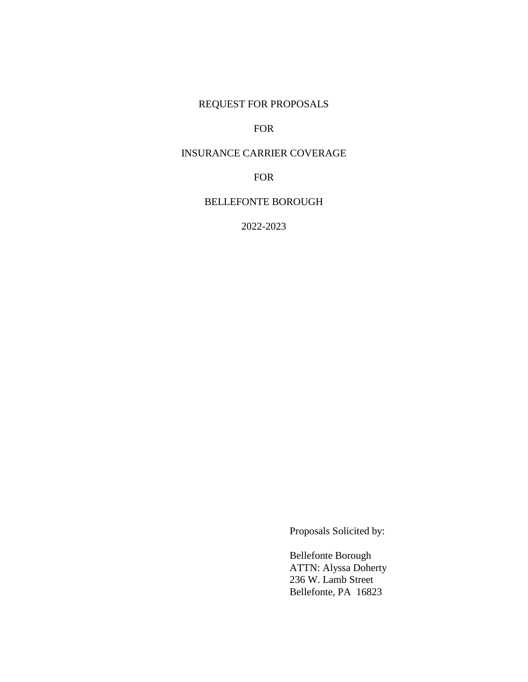## REQUEST FOR PROPOSALS

#### FOR

## INSURANCE CARRIER COVERAGE

FOR

#### BELLEFONTE BOROUGH

2022-2023

Proposals Solicited by:

 Bellefonte Borough ATTN: Alyssa Doherty 236 W. Lamb Street Bellefonte, PA 16823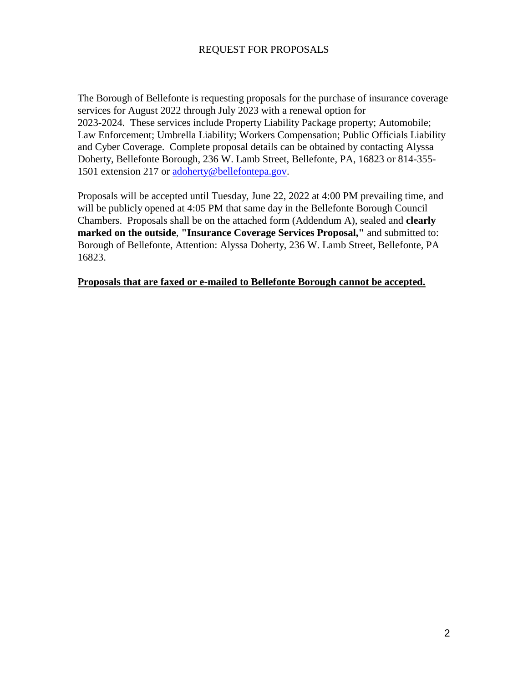#### REQUEST FOR PROPOSALS

The Borough of Bellefonte is requesting proposals for the purchase of insurance coverage services for August 2022 through July 2023 with a renewal option for 2023-2024. These services include Property Liability Package property; Automobile; Law Enforcement; Umbrella Liability; Workers Compensation; Public Officials Liability and Cyber Coverage. Complete proposal details can be obtained by contacting Alyssa Doherty, Bellefonte Borough, 236 W. Lamb Street, Bellefonte, PA, 16823 or 814-355- 1501 extension 217 or [adoherty@bellefontepa.gov.](mailto:adoherty@bellefontepa.gov)

Proposals will be accepted until Tuesday, June 22, 2022 at 4:00 PM prevailing time, and will be publicly opened at 4:05 PM that same day in the Bellefonte Borough Council Chambers. Proposals shall be on the attached form (Addendum A), sealed and **clearly marked on the outside**, **"Insurance Coverage Services Proposal,"** and submitted to: Borough of Bellefonte, Attention: Alyssa Doherty, 236 W. Lamb Street, Bellefonte, PA 16823.

#### **Proposals that are faxed or e-mailed to Bellefonte Borough cannot be accepted.**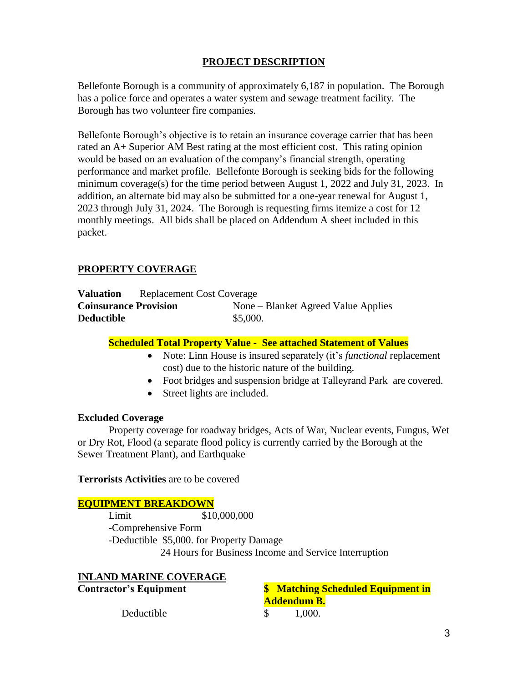## **PROJECT DESCRIPTION**

Bellefonte Borough is a community of approximately 6,187 in population. The Borough has a police force and operates a water system and sewage treatment facility. The Borough has two volunteer fire companies.

Bellefonte Borough's objective is to retain an insurance coverage carrier that has been rated an A+ Superior AM Best rating at the most efficient cost. This rating opinion would be based on an evaluation of the company's financial strength, operating performance and market profile. Bellefonte Borough is seeking bids for the following minimum coverage(s) for the time period between August 1, 2022 and July 31, 2023. In addition, an alternate bid may also be submitted for a one-year renewal for August 1, 2023 through July 31, 2024. The Borough is requesting firms itemize a cost for 12 monthly meetings. All bids shall be placed on Addendum A sheet included in this packet.

#### **PROPERTY COVERAGE**

| <b>Valuation</b>             | <b>Replacement Cost Coverage</b> |          |                                     |
|------------------------------|----------------------------------|----------|-------------------------------------|
| <b>Coinsurance Provision</b> |                                  |          | None – Blanket Agreed Value Applies |
| <b>Deductible</b>            |                                  | \$5,000. |                                     |

#### **Scheduled Total Property Value - See attached Statement of Values**

- Note: Linn House is insured separately (it's *functional* replacement cost) due to the historic nature of the building.
- Foot bridges and suspension bridge at Talleyrand Park are covered.
- Street lights are included.

#### **Excluded Coverage**

Property coverage for roadway bridges, Acts of War, Nuclear events, Fungus, Wet or Dry Rot, Flood (a separate flood policy is currently carried by the Borough at the Sewer Treatment Plant), and Earthquake

**Terrorists Activities** are to be covered

#### **EQUIPMENT BREAKDOWN**

Limit \$10,000,000 -Comprehensive Form -Deductible \$5,000. for Property Damage 24 Hours for Business Income and Service Interruption

| <b>INLAND MARINE COVERAGE</b> |                                           |
|-------------------------------|-------------------------------------------|
| <b>Contractor's Equipment</b> | <b>\$</b> Matching Scheduled Equipment in |
|                               | <b>Addendum B.</b>                        |
| Deductible                    | 1,000.                                    |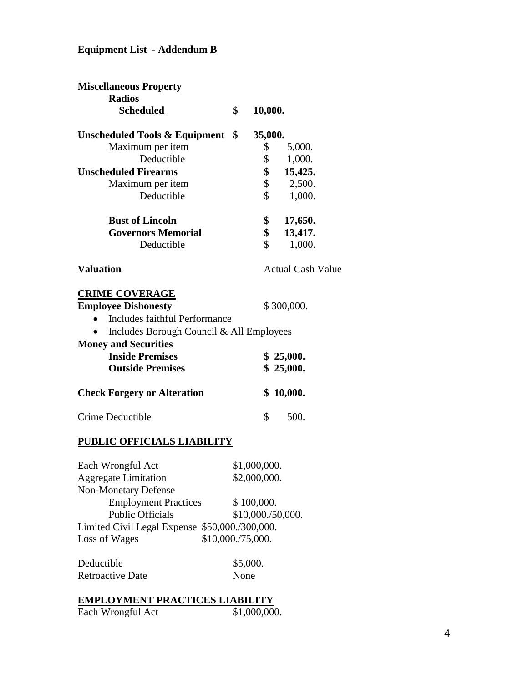## **Equipment List - Addendum B**

| <b>Miscellaneous Property</b>                  |                   |                   |                          |
|------------------------------------------------|-------------------|-------------------|--------------------------|
| <b>Radios</b>                                  |                   |                   |                          |
| <b>Scheduled</b>                               | \$                | 10,000.           |                          |
| <b>Unscheduled Tools &amp; Equipment</b>       | \$                | 35,000.           |                          |
| Maximum per item                               |                   | \$                | 5,000.                   |
| Deductible                                     |                   | \$                | 1,000.                   |
| <b>Unscheduled Firearms</b>                    |                   | \$                | 15,425.                  |
| Maximum per item                               |                   | \$                | 2,500.                   |
| Deductible                                     |                   | \$                | 1,000.                   |
| <b>Bust of Lincoln</b>                         |                   | \$                | 17,650.                  |
| <b>Governors Memorial</b>                      |                   | \$                | 13,417.                  |
| Deductible                                     |                   | \$                | 1,000.                   |
| <b>Valuation</b>                               |                   |                   | <b>Actual Cash Value</b> |
| <b>CRIME COVERAGE</b>                          |                   |                   |                          |
| <b>Employee Dishonesty</b>                     |                   |                   | \$300,000.               |
| Includes faithful Performance<br>$\bullet$     |                   |                   |                          |
| Includes Borough Council & All Employees       |                   |                   |                          |
| <b>Money and Securities</b>                    |                   |                   |                          |
| <b>Inside Premises</b>                         |                   |                   | \$25,000.                |
| <b>Outside Premises</b>                        |                   |                   | \$25,000.                |
| <b>Check Forgery or Alteration</b>             |                   |                   | \$10,000.                |
| Crime Deductible                               |                   | \$                | 500.                     |
| PUBLIC OFFICIALS LIABILITY                     |                   |                   |                          |
| Each Wrongful Act                              |                   | \$1,000,000       |                          |
| <b>Aggregate Limitation</b>                    |                   | \$2,000,000.      |                          |
| <b>Non-Monetary Defense</b>                    |                   |                   |                          |
| <b>Employment Practices</b>                    |                   | \$100,000.        |                          |
| <b>Public Officials</b>                        |                   | \$10,000./50,000. |                          |
| Limited Civil Legal Expense \$50,000./300,000. |                   |                   |                          |
| Loss of Wages                                  | \$10,000./75,000. |                   |                          |
| Deductible                                     |                   | \$5,000.          |                          |
| <b>Retroactive Date</b>                        | None              |                   |                          |
|                                                |                   |                   |                          |

## **EMPLOYMENT PRACTICES LIABILITY**

| Each Wrongful Act | \$1,000,000. |
|-------------------|--------------|
|                   |              |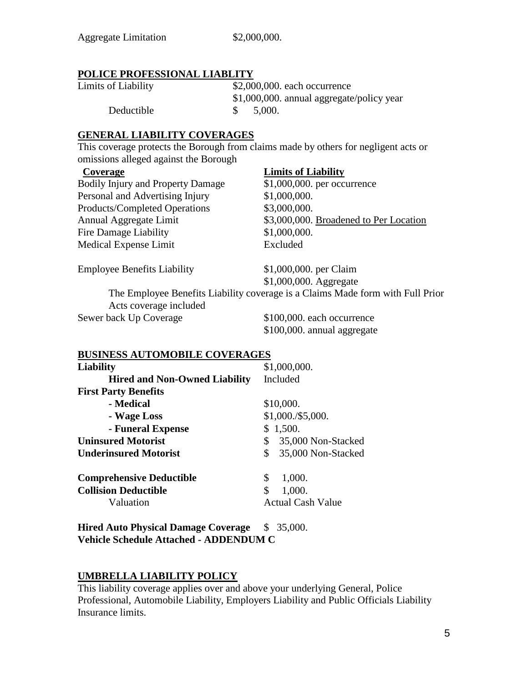#### **POLICE PROFESSIONAL LIABLITY**

| Limits of Liability | $$2,000,000$ . each occurrence            |
|---------------------|-------------------------------------------|
|                     | \$1,000,000. annual aggregate/policy year |
| Deductible          | 5,000.                                    |

## **GENERAL LIABILITY COVERAGES**

This coverage protects the Borough from claims made by others for negligent acts or omissions alleged against the Borough

Bodily Injury and Property Damage \$1,000,000. per occurrence Personal and Advertising Injury \$1,000,000. Products/Completed Operations \$3,000,000. Fire Damage Liability \$1,000,000. Medical Expense Limit Excluded

## **Coverage Limits of Liability**

Annual Aggregate Limit \$3,000,000. Broadened to Per Location

Employee Benefits Liability \$1,000,000. per Claim

\$1,000,000. Aggregate

The Employee Benefits Liability coverage is a Claims Made form with Full Prior Acts coverage included Sewer back Up Coverage  $$100,000$  each occurrence

\$100,000. annual aggregate

#### **BUSINESS AUTOMOBILE COVERAGES**

| Liability                            | \$1,000,000.             |  |  |
|--------------------------------------|--------------------------|--|--|
| <b>Hired and Non-Owned Liability</b> | Included                 |  |  |
| <b>First Party Benefits</b>          |                          |  |  |
| - Medical                            | \$10,000.                |  |  |
| - Wage Loss                          | \$1,000./\$5,000.        |  |  |
| - Funeral Expense                    | 1,500.<br>\$             |  |  |
| <b>Uninsured Motorist</b>            | \$<br>35,000 Non-Stacked |  |  |
| <b>Underinsured Motorist</b>         | 35,000 Non-Stacked<br>\$ |  |  |
| <b>Comprehensive Deductible</b>      | 1,000.<br>\$             |  |  |
| <b>Collision Deductible</b>          | \$<br>1,000.             |  |  |
| Valuation                            | <b>Actual Cash Value</b> |  |  |
|                                      |                          |  |  |

**Hired Auto Physical Damage Coverage** \$ 35,000. **Vehicle Schedule Attached - ADDENDUM C**

## **UMBRELLA LIABILITY POLICY**

This liability coverage applies over and above your underlying General, Police Professional, Automobile Liability, Employers Liability and Public Officials Liability Insurance limits.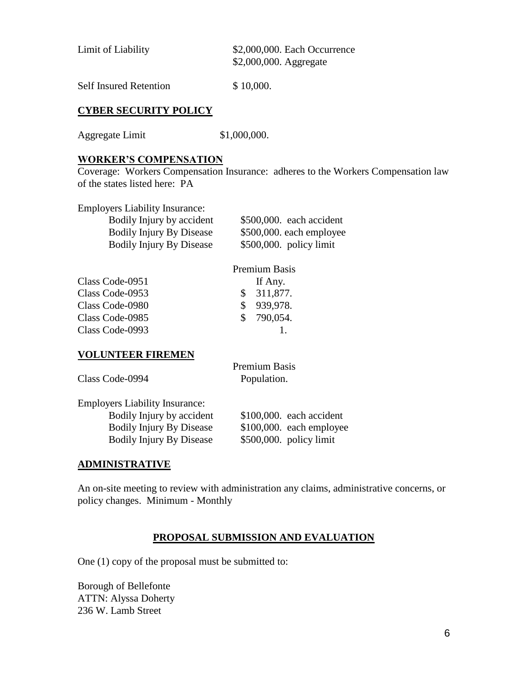| Limit of Liability | \$2,000,000. Each Occurrence |
|--------------------|------------------------------|
|                    | \$2,000,000. Aggregate       |
|                    |                              |

Self Insured Retention \$10,000.

## **CYBER SECURITY POLICY**

Aggregate Limit \$1,000,000.

#### **WORKER'S COMPENSATION**

Coverage: Workers Compensation Insurance: adheres to the Workers Compensation law of the states listed here: PA

Employers Liability Insurance:

| Bodily Injury by accident       | $$500,000$ . each accident |
|---------------------------------|----------------------------|
| <b>Bodily Injury By Disease</b> | \$500,000. each employee   |
| <b>Bodily Injury By Disease</b> | $$500,000$ . policy limit  |

#### Premium Basis

Premium Basis

| Class Code-0951 | If Any.    |
|-----------------|------------|
| Class Code-0953 | \$311,877. |
| Class Code-0980 | \$939,978. |
| Class Code-0985 | \$790,054. |
| Class Code-0993 |            |
|                 |            |

#### **VOLUNTEER FIREMEN**

| Class Code-0994                       | Population. |
|---------------------------------------|-------------|
| <b>Employers Liability Insurance:</b> |             |

| Bodily Injury by accident       | $$100,000$ . each accident |
|---------------------------------|----------------------------|
| <b>Bodily Injury By Disease</b> | $$100,000$ . each employee |
| <b>Bodily Injury By Disease</b> | $$500,000$ . policy limit  |

#### **ADMINISTRATIVE**

An on-site meeting to review with administration any claims, administrative concerns, or policy changes. Minimum - Monthly

#### **PROPOSAL SUBMISSION AND EVALUATION**

One (1) copy of the proposal must be submitted to:

Borough of Bellefonte ATTN: Alyssa Doherty 236 W. Lamb Street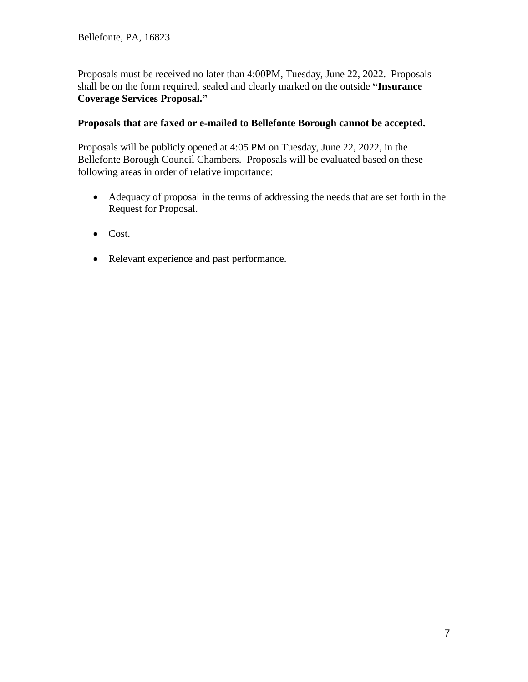Proposals must be received no later than 4:00PM, Tuesday, June 22, 2022. Proposals shall be on the form required, sealed and clearly marked on the outside **"Insurance Coverage Services Proposal."**

## **Proposals that are faxed or e-mailed to Bellefonte Borough cannot be accepted.**

Proposals will be publicly opened at 4:05 PM on Tuesday, June 22, 2022, in the Bellefonte Borough Council Chambers. Proposals will be evaluated based on these following areas in order of relative importance:

- Adequacy of proposal in the terms of addressing the needs that are set forth in the Request for Proposal.
- Cost.
- Relevant experience and past performance.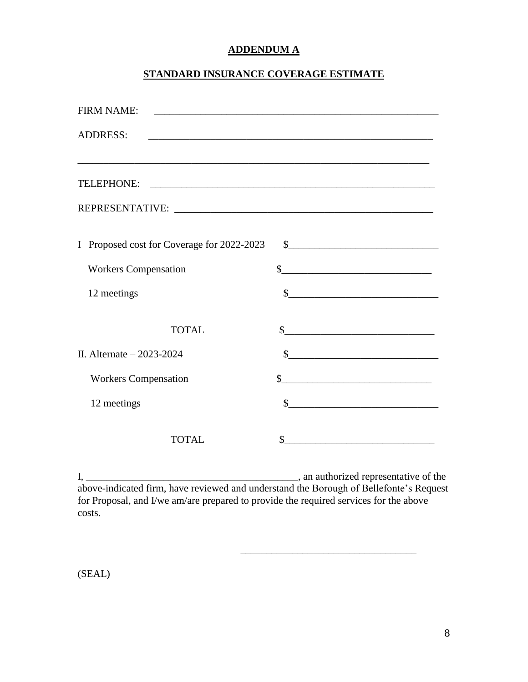## **ADDENDUM A**

## **STANDARD INSURANCE COVERAGE ESTIMATE**

| <b>FIRM NAME:</b>                          |                                                                                                                      |
|--------------------------------------------|----------------------------------------------------------------------------------------------------------------------|
| <b>ADDRESS:</b>                            | <u> 1989 - Johann Barbara, martxa alemaniar argumento de la contrada de la contrada de la contrada de la contrad</u> |
|                                            |                                                                                                                      |
|                                            |                                                                                                                      |
|                                            |                                                                                                                      |
|                                            |                                                                                                                      |
| I Proposed cost for Coverage for 2022-2023 | $\frac{1}{2}$                                                                                                        |
| <b>Workers Compensation</b>                | $\frac{1}{2}$                                                                                                        |
| 12 meetings                                | $\frac{1}{2}$                                                                                                        |
| <b>TOTAL</b>                               | $\frac{1}{2}$                                                                                                        |
|                                            |                                                                                                                      |
| II. Alternate $-2023-2024$                 |                                                                                                                      |
| <b>Workers Compensation</b>                | $\frac{1}{2}$                                                                                                        |
| 12 meetings                                | $\sim$                                                                                                               |
| TOTAL                                      | \$                                                                                                                   |

I,  $\frac{1}{2}$  an authorized representative of the above-indicated firm, have reviewed and understand the Borough of Bellefonte's Request for Proposal, and I/we am/are prepared to provide the required services for the above costs.

 $\overline{\phantom{a}}$  ,  $\overline{\phantom{a}}$  ,  $\overline{\phantom{a}}$  ,  $\overline{\phantom{a}}$  ,  $\overline{\phantom{a}}$  ,  $\overline{\phantom{a}}$  ,  $\overline{\phantom{a}}$  ,  $\overline{\phantom{a}}$  ,  $\overline{\phantom{a}}$  ,  $\overline{\phantom{a}}$  ,  $\overline{\phantom{a}}$  ,  $\overline{\phantom{a}}$  ,  $\overline{\phantom{a}}$  ,  $\overline{\phantom{a}}$  ,  $\overline{\phantom{a}}$  ,  $\overline{\phantom{a}}$ 

(SEAL)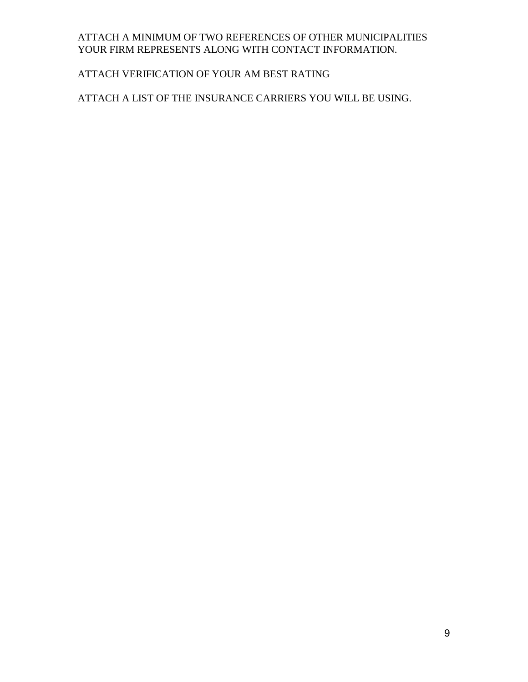## ATTACH A MINIMUM OF TWO REFERENCES OF OTHER MUNICIPALITIES YOUR FIRM REPRESENTS ALONG WITH CONTACT INFORMATION.

## ATTACH VERIFICATION OF YOUR AM BEST RATING

## ATTACH A LIST OF THE INSURANCE CARRIERS YOU WILL BE USING.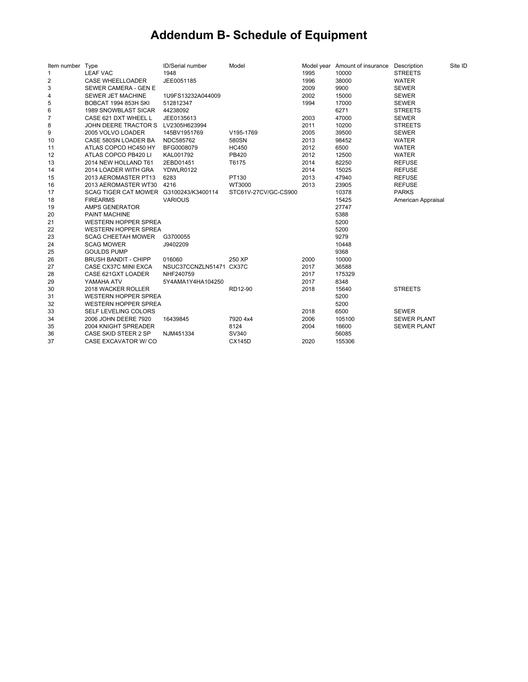# **Addendum B- Schedule of Equipment**

| Item number Type |                                        | ID/Serial number        | Model                |      | Model year Amount of insurance Description |                    | Site ID |
|------------------|----------------------------------------|-------------------------|----------------------|------|--------------------------------------------|--------------------|---------|
| 1                | <b>LEAF VAC</b>                        | 1948                    |                      | 1995 | 10000                                      | <b>STREETS</b>     |         |
| 2                | <b>CASE WHEELLOADER</b>                | JEE0051185              |                      | 1996 | 38000                                      | <b>WATER</b>       |         |
| 3                | SEWER CAMERA - GEN E                   |                         |                      | 2009 | 9900                                       | <b>SEWER</b>       |         |
| 4                | SEWER JET MACHINE                      | 1U9FS13232A044009       |                      | 2002 | 15000                                      | <b>SEWER</b>       |         |
| 5                | <b>BOBCAT 1994 853H SKI</b>            | 512812347               |                      | 1994 | 17000                                      | <b>SEWER</b>       |         |
| 6                | <b>1989 SNOWBLAST SICAR</b>            | 44238092                |                      |      | 6271                                       | <b>STREETS</b>     |         |
| 7                | CASE 621 DXT WHEEL L                   | JEE0135613              |                      | 2003 | 47000                                      | <b>SEWER</b>       |         |
| 8                | JOHN DEERE TRACTOR S                   | LV2305H623994           |                      | 2011 | 10200                                      | <b>STREETS</b>     |         |
| 9                | 2005 VOLVO LOADER                      | 145BV1951769            | V195-1769            | 2005 | 39500                                      | <b>SEWER</b>       |         |
| 10               | CASE 580SN LOADER BA                   | NDC585762               | 580SN                | 2013 | 98452                                      | <b>WATER</b>       |         |
| 11               | ATLAS COPCO HC450 HY                   | BFG0008079              | <b>HC450</b>         | 2012 | 6500                                       | <b>WATER</b>       |         |
| 12               | ATLAS COPCO PB420 LI                   | KAL001792               | PB420                | 2012 | 12500                                      | <b>WATER</b>       |         |
| 13               | 2014 NEW HOLLAND T61                   | 2EBD01451               | T6175                | 2014 | 82250                                      | <b>REFUSE</b>      |         |
| 14               | 2014 LOADER WITH GRA                   | YDWLR0122               |                      | 2014 | 15025                                      | <b>REFUSE</b>      |         |
| 15               | 2013 AEROMASTER PT13                   | 6283                    | PT130                | 2013 | 47940                                      | <b>REFUSE</b>      |         |
| 16               | 2013 AEROMASTER WT30                   | 4216                    | WT3000               | 2013 | 23905                                      | <b>REFUSE</b>      |         |
| 17               | SCAG TIGER CAT MOWER G3100243/K3400114 |                         | STC61V-27CV/GC-CS900 |      | 10378                                      | <b>PARKS</b>       |         |
| 18               | <b>FIREARMS</b>                        | <b>VARIOUS</b>          |                      |      | 15425                                      | American Appraisal |         |
| 19               | AMPS GENERATOR                         |                         |                      |      | 27747                                      |                    |         |
| 20               | <b>PAINT MACHINE</b>                   |                         |                      |      | 5388                                       |                    |         |
| 21               | <b>WESTERN HOPPER SPREA</b>            |                         |                      |      | 5200                                       |                    |         |
| 22               | <b>WESTERN HOPPER SPREA</b>            |                         |                      |      | 5200                                       |                    |         |
| 23               | <b>SCAG CHEETAH MOWER</b>              | G3700055                |                      |      | 9279                                       |                    |         |
| 24               | <b>SCAG MOWER</b>                      | J9402209                |                      |      | 10448                                      |                    |         |
| 25               | <b>GOULDS PUMP</b>                     |                         |                      |      | 9368                                       |                    |         |
| 26               | <b>BRUSH BANDIT - CHIPP</b>            | 016060                  | 250 XP               | 2000 | 10000                                      |                    |         |
| 27               | CASE CX37C MINI EXCA                   | NSUC37CCNZLN51471 CX37C |                      | 2017 | 36588                                      |                    |         |
| 28               | CASE 621GXT LOADER                     | NHF240759               |                      | 2017 | 175329                                     |                    |         |
| 29               | YAMAHA ATV                             | 5Y4AMA1Y4HA104250       |                      | 2017 | 8348                                       |                    |         |
| 30               | 2018 WACKER ROLLER                     |                         | RD12-90              | 2018 | 15640                                      | <b>STREETS</b>     |         |
| 31               | <b>WESTERN HOPPER SPREA</b>            |                         |                      |      | 5200                                       |                    |         |
| 32               | <b>WESTERN HOPPER SPREA</b>            |                         |                      |      | 5200                                       |                    |         |
| 33               | SELF LEVELING COLORS                   |                         |                      | 2018 | 6500                                       | <b>SEWER</b>       |         |
| 34               | 2006 JOHN DEERE 7920                   | 16439845                | 7920 4x4             | 2006 | 105100                                     | <b>SEWER PLANT</b> |         |
| 35               | 2004 KNIGHT SPREADER                   |                         | 8124                 | 2004 | 16600                                      | <b>SEWER PLANT</b> |         |
| 36               | CASE SKID STEER 2 SP                   | NJM451334               | SV340                |      | 56085                                      |                    |         |
| 37               | CASE EXCAVATOR W/ CO                   |                         | <b>CX145D</b>        | 2020 | 155306                                     |                    |         |
|                  |                                        |                         |                      |      |                                            |                    |         |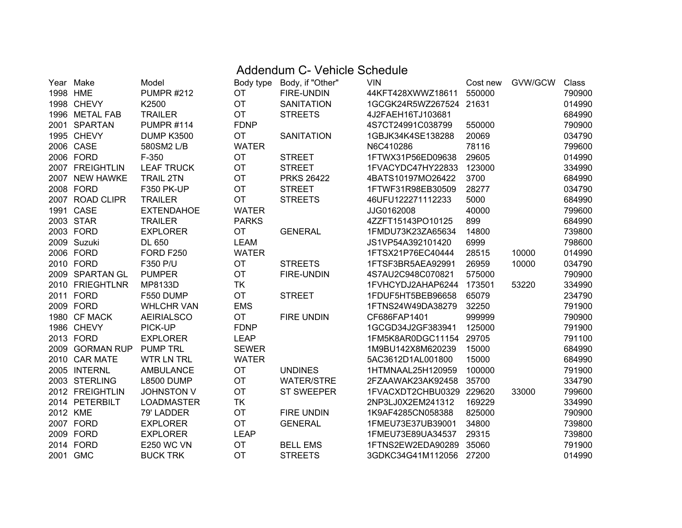## Addendum C- Vehicle Schedule

|          | Year Make       | Model             | Body type    | Body, if "Other"  | <b>VIN</b>               | Cost new | GVW/GCW | Class  |
|----------|-----------------|-------------------|--------------|-------------------|--------------------------|----------|---------|--------|
| 1998 HME |                 | <b>PUMPR #212</b> | <b>OT</b>    | FIRE-UNDIN        | 44KFT428XWWZ18611        | 550000   |         | 790900 |
|          | 1998 CHEVY      | K2500             | <b>OT</b>    | <b>SANITATION</b> | 1GCGK24R5WZ267524 21631  |          |         | 014990 |
|          | 1996 METAL FAB  | <b>TRAILER</b>    | <b>OT</b>    | <b>STREETS</b>    | 4J2FAEH16TJ103681        |          |         | 684990 |
|          | 2001 SPARTAN    | <b>PUMPR #114</b> | <b>FDNP</b>  |                   | 4S7CT24991C038799        | 550000   |         | 790900 |
|          | 1995 CHEVY      | <b>DUMP K3500</b> | <b>OT</b>    | <b>SANITATION</b> | 1GBJK34K4SE138288        | 20069    |         | 034790 |
|          | 2006 CASE       | 580SM2 L/B        | <b>WATER</b> |                   | N6C410286                | 78116    |         | 799600 |
|          | 2006 FORD       | F-350             | OT           | <b>STREET</b>     | 1FTWX31P56ED09638        | 29605    |         | 014990 |
|          | 2007 FREIGHTLIN | <b>LEAF TRUCK</b> | <b>OT</b>    | <b>STREET</b>     | 1FVACYDC47HY22833        | 123000   |         | 334990 |
|          | 2007 NEW HAWKE  | <b>TRAIL 2TN</b>  | OT           | <b>PRKS 26422</b> | 4BATS10197MO26422        | 3700     |         | 684990 |
|          | 2008 FORD       | <b>F350 PK-UP</b> | <b>OT</b>    | <b>STREET</b>     | 1FTWF31R98EB30509        | 28277    |         | 034790 |
|          | 2007 ROAD CLIPR | <b>TRAILER</b>    | OT           | <b>STREETS</b>    | 46UFU122271112233        | 5000     |         | 684990 |
|          | 1991 CASE       | <b>EXTENDAHOE</b> | <b>WATER</b> |                   | JJG0162008               | 40000    |         | 799600 |
|          | 2003 STAR       | <b>TRAILER</b>    | <b>PARKS</b> |                   | 4ZZFT15143PO10125        | 899      |         | 684990 |
|          | 2003 FORD       | <b>EXPLORER</b>   | <b>OT</b>    | <b>GENERAL</b>    | 1FMDU73K23ZA65634        | 14800    |         | 739800 |
|          | 2009 Suzuki     | DL 650            | <b>LEAM</b>  |                   | JS1VP54A392101420        | 6999     |         | 798600 |
|          | 2006 FORD       | <b>FORD F250</b>  | <b>WATER</b> |                   | 1FTSX21P76EC40444        | 28515    | 10000   | 014990 |
|          | 2010 FORD       | F350 P/U          | <b>OT</b>    | <b>STREETS</b>    | 1FTSF3BR5AEA92991        | 26959    | 10000   | 034790 |
|          | 2009 SPARTAN GL | <b>PUMPER</b>     | OT           | <b>FIRE-UNDIN</b> | 4S7AU2C948C070821        | 575000   |         | 790900 |
|          | 2010 FRIEGHTLNR | MP8133D           | TK           |                   | 1FVHCYDJ2AHAP6244        | 173501   | 53220   | 334990 |
|          | 2011 FORD       | F550 DUMP         | <b>OT</b>    | <b>STREET</b>     | 1FDUF5HT5BEB96658        | 65079    |         | 234790 |
|          | 2009 FORD       | <b>WHLCHR VAN</b> | <b>EMS</b>   |                   | 1FTNS24W49DA38279        | 32250    |         | 791900 |
|          | 1980 CF MACK    | <b>AEIRIALSCO</b> | <b>OT</b>    | <b>FIRE UNDIN</b> | CF686FAP1401             | 999999   |         | 790900 |
|          | 1986 CHEVY      | PICK-UP           | <b>FDNP</b>  |                   | 1GCGD34J2GF383941        | 125000   |         | 791900 |
|          | 2013 FORD       | <b>EXPLORER</b>   | <b>LEAP</b>  |                   | 1FM5K8AR0DGC11154 29705  |          |         | 791100 |
|          | 2009 GORMAN RUP | <b>PUMP TRL</b>   | <b>SEWER</b> |                   | 1M9BU142X8M620239        | 15000    |         | 684990 |
|          | 2010 CAR MATE   | <b>WTR LN TRL</b> | <b>WATER</b> |                   | 5AC3612D1AL001800        | 15000    |         | 684990 |
|          | 2005 INTERNL    | <b>AMBULANCE</b>  | OT           | <b>UNDINES</b>    | 1HTMNAAL25H120959        | 100000   |         | 791900 |
|          | 2003 STERLING   | <b>L8500 DUMP</b> | <b>OT</b>    | <b>WATER/STRE</b> | 2FZAAWAK23AK92458        | 35700    |         | 334790 |
|          | 2012 FREIGHTLIN | <b>JOHNSTON V</b> | OT           | <b>ST SWEEPER</b> | 1FVACXDT2CHBU0329 229620 |          | 33000   | 799600 |
|          | 2014 PETERBILT  | <b>LOADMASTER</b> | <b>TK</b>    |                   | 2NP3LJ0X2EM241312        | 169229   |         | 334990 |
| 2012 KME |                 | 79' LADDER        | <b>OT</b>    | FIRE UNDIN        | 1K9AF4285CN058388        | 825000   |         | 790900 |
|          | 2007 FORD       | <b>EXPLORER</b>   | <b>OT</b>    | <b>GENERAL</b>    | 1FMEU73E37UB39001        | 34800    |         | 739800 |
|          | 2009 FORD       | <b>EXPLORER</b>   | <b>LEAP</b>  |                   | 1FMEU73E89UA34537        | 29315    |         | 739800 |
|          | 2014 FORD       | <b>E250 WC VN</b> | <b>OT</b>    | <b>BELL EMS</b>   | 1FTNS2EW2EDA90289        | 35060    |         | 791900 |
|          | 2001 GMC        | <b>BUCK TRK</b>   | <b>OT</b>    | <b>STREETS</b>    | 3GDKC34G41M112056        | 27200    |         | 014990 |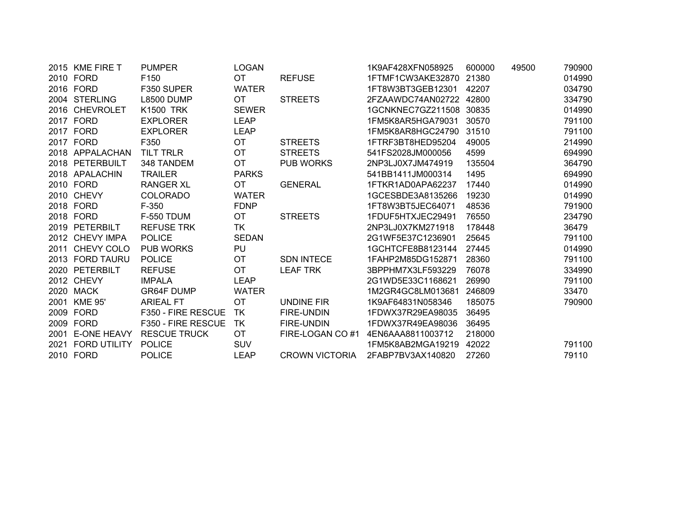| 2015 KME FIRE T   | <b>PUMPER</b>       | <b>LOGAN</b> |                       | 1K9AF428XFN058925       | 600000 | 49500 | 790900 |
|-------------------|---------------------|--------------|-----------------------|-------------------------|--------|-------|--------|
| 2010 FORD         | F <sub>150</sub>    | <b>OT</b>    | <b>REFUSE</b>         | 1FTMF1CW3AKE32870 21380 |        |       | 014990 |
| 2016 FORD         | F350 SUPER          | <b>WATER</b> |                       | 1FT8W3BT3GEB12301       | 42207  |       | 034790 |
| 2004 STERLING     | <b>L8500 DUMP</b>   | <b>OT</b>    | <b>STREETS</b>        | 2FZAAWDC74AN02722 42800 |        |       | 334790 |
| 2016 CHEVROLET    | <b>K1500 TRK</b>    | <b>SEWER</b> |                       | 1GCNKNEC7GZ211508 30835 |        |       | 014990 |
| 2017 FORD         | <b>EXPLORER</b>     | <b>LEAP</b>  |                       | 1FM5K8AR5HGA79031       | 30570  |       | 791100 |
| 2017 FORD         | <b>EXPLORER</b>     | <b>LEAP</b>  |                       | 1FM5K8AR8HGC24790       | 31510  |       | 791100 |
| 2017 FORD         | F350                | <b>OT</b>    | <b>STREETS</b>        | 1FTRF3BT8HED95204       | 49005  |       | 214990 |
| 2018 APPALACHAN   | <b>TILT TRLR</b>    | <b>OT</b>    | <b>STREETS</b>        | 541FS2028JM000056       | 4599   |       | 694990 |
| 2018 PETERBUILT   | 348 TANDEM          | <b>OT</b>    | <b>PUB WORKS</b>      | 2NP3LJ0X7JM474919       | 135504 |       | 364790 |
| 2018 APALACHIN    | <b>TRAILER</b>      | <b>PARKS</b> |                       | 541BB1411JM000314       | 1495   |       | 694990 |
| 2010 FORD         | <b>RANGER XL</b>    | <b>OT</b>    | <b>GENERAL</b>        | 1FTKR1AD0APA62237       | 17440  |       | 014990 |
| 2010 CHEVY        | <b>COLORADO</b>     | <b>WATER</b> |                       | 1GCESBDE3A8135266       | 19230  |       | 014990 |
| 2018 FORD         | $F-350$             | <b>FDNP</b>  |                       | 1FT8W3BT5JEC64071       | 48536  |       | 791900 |
| 2018 FORD         | <b>F-550 TDUM</b>   | OT.          | <b>STREETS</b>        | 1FDUF5HTXJEC29491       | 76550  |       | 234790 |
| 2019 PETERBILT    | <b>REFUSE TRK</b>   | TK           |                       | 2NP3LJ0X7KM271918       | 178448 |       | 36479  |
| 2012 CHEVY IMPA   | <b>POLICE</b>       | <b>SEDAN</b> |                       | 2G1WF5E37C1236901       | 25645  |       | 791100 |
| 2011 CHEVY COLO   | <b>PUB WORKS</b>    | PU           |                       | 1GCHTCFE8B8123144       | 27445  |       | 014990 |
| 2013 FORD TAURU   | <b>POLICE</b>       | <b>OT</b>    | <b>SDN INTECE</b>     | 1FAHP2M85DG152871       | 28360  |       | 791100 |
| 2020 PETERBILT    | <b>REFUSE</b>       | <b>OT</b>    | <b>LEAF TRK</b>       | 3BPPHM7X3LF593229       | 76078  |       | 334990 |
| 2012 CHEVY        | <b>IMPALA</b>       | LEAP         |                       | 2G1WD5E33C1168621       | 26990  |       | 791100 |
| 2020 MACK         | <b>GR64F DUMP</b>   | <b>WATER</b> |                       | 1M2GR4GC8LM013681       | 246809 |       | 33470  |
| 2001 KME 95'      | <b>ARIEAL FT</b>    | ОT           | UNDINE FIR            | 1K9AF64831N058346       | 185075 |       | 790900 |
| 2009 FORD         | F350 - FIRE RESCUE  | TK           | <b>FIRE-UNDIN</b>     | 1FDWX37R29EA98035       | 36495  |       |        |
| 2009 FORD         | F350 - FIRE RESCUE  | TK           | <b>FIRE-UNDIN</b>     | 1FDWX37R49EA98036       | 36495  |       |        |
| 2001 E-ONE HEAVY  | <b>RESCUE TRUCK</b> | OT           | FIRE-LOGAN CO#1       | 4EN6AAA8811003712       | 218000 |       |        |
| 2021 FORD UTILITY | <b>POLICE</b>       | <b>SUV</b>   |                       | 1FM5K8AB2MGA19219       | 42022  |       | 791100 |
| 2010 FORD         | <b>POLICE</b>       | <b>LEAP</b>  | <b>CROWN VICTORIA</b> | 2FABP7BV3AX140820       | 27260  |       | 79110  |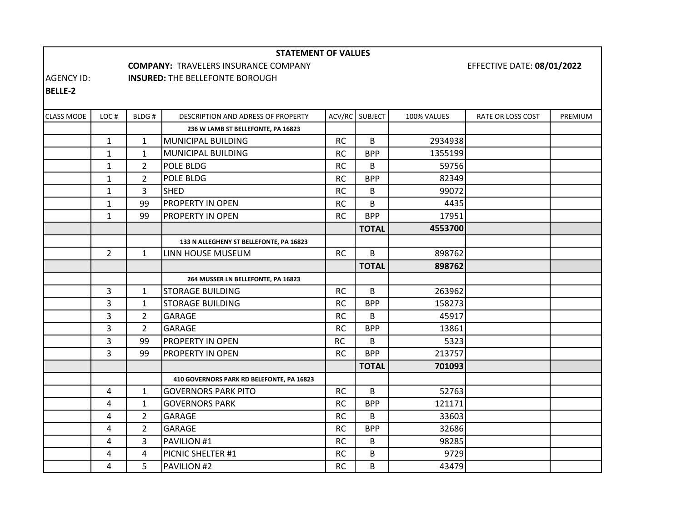#### **STATEMENT OF VALUES**

**COMPANY:** TRAVELERS INSURANCE

#### COMPANY EFFECTIVE DATE: **08/01/2022**

AGENCY ID: **INSURED:** THE BELLEFONTE BOROUGH

**BELLE‐2**

| <b>CLASS MODE</b> | LOC#         | BLDG#          | DESCRIPTION AND ADRESS OF PROPERTY        | ACV/RC    | <b>SUBJECT</b> | 100% VALUES | RATE OR LOSS COST | PREMIUM |
|-------------------|--------------|----------------|-------------------------------------------|-----------|----------------|-------------|-------------------|---------|
|                   |              |                | 236 W LAMB ST BELLEFONTE, PA 16823        |           |                |             |                   |         |
|                   | $\mathbf{1}$ | $\mathbf{1}$   | MUNICIPAL BUILDING                        | <b>RC</b> | B              | 2934938     |                   |         |
|                   | $\mathbf{1}$ | $\mathbf{1}$   | MUNICIPAL BUILDING                        | <b>RC</b> | <b>BPP</b>     | 1355199     |                   |         |
|                   | $\mathbf{1}$ | $\overline{2}$ | POLE BLDG                                 | <b>RC</b> | B              | 59756       |                   |         |
|                   | $\mathbf{1}$ | $\overline{2}$ | POLE BLDG                                 | <b>RC</b> | <b>BPP</b>     | 82349       |                   |         |
|                   | $\mathbf{1}$ | 3              | <b>SHED</b>                               | <b>RC</b> | В              | 99072       |                   |         |
|                   | $\mathbf{1}$ | 99             | <b>PROPERTY IN OPEN</b>                   | <b>RC</b> | В              | 4435        |                   |         |
|                   | $\mathbf{1}$ | 99             | <b>PROPERTY IN OPEN</b>                   | <b>RC</b> | <b>BPP</b>     | 17951       |                   |         |
|                   |              |                |                                           |           | <b>TOTAL</b>   | 4553700     |                   |         |
|                   |              |                | 133 N ALLEGHENY ST BELLEFONTE, PA 16823   |           |                |             |                   |         |
|                   | $2^{\circ}$  | $\mathbf{1}$   | LINN HOUSE MUSEUM                         | <b>RC</b> | B              | 898762      |                   |         |
|                   |              |                |                                           |           | <b>TOTAL</b>   | 898762      |                   |         |
|                   |              |                | 264 MUSSER LN BELLEFONTE, PA 16823        |           |                |             |                   |         |
|                   | 3            | $\mathbf{1}$   | <b>STORAGE BUILDING</b>                   | <b>RC</b> | B              | 263962      |                   |         |
|                   | 3            | $\mathbf{1}$   | <b>STORAGE BUILDING</b>                   | <b>RC</b> | <b>BPP</b>     | 158273      |                   |         |
|                   | 3            | $\overline{2}$ | <b>GARAGE</b>                             | <b>RC</b> | В              | 45917       |                   |         |
|                   | 3            | $\overline{2}$ | <b>GARAGE</b>                             | <b>RC</b> | <b>BPP</b>     | 13861       |                   |         |
|                   | 3            | 99             | <b>PROPERTY IN OPEN</b>                   | <b>RC</b> | В              | 5323        |                   |         |
|                   | 3            | 99             | <b>PROPERTY IN OPEN</b>                   | <b>RC</b> | <b>BPP</b>     | 213757      |                   |         |
|                   |              |                |                                           |           | <b>TOTAL</b>   | 701093      |                   |         |
|                   |              |                | 410 GOVERNORS PARK RD BELEFONTE, PA 16823 |           |                |             |                   |         |
|                   | 4            | $\mathbf{1}$   | <b>GOVERNORS PARK PITO</b>                | <b>RC</b> | B              | 52763       |                   |         |
|                   | 4            | $\mathbf{1}$   | <b>GOVERNORS PARK</b>                     | <b>RC</b> | <b>BPP</b>     | 121171      |                   |         |
|                   | 4            | $\overline{2}$ | GARAGE                                    | <b>RC</b> | B              | 33603       |                   |         |
|                   | 4            | $\overline{2}$ | <b>GARAGE</b>                             | <b>RC</b> | <b>BPP</b>     | 32686       |                   |         |
|                   | 4            | $\overline{3}$ | PAVILION #1                               | <b>RC</b> | B              | 98285       |                   |         |
|                   | 4            | 4              | PICNIC SHELTER #1                         | <b>RC</b> | B              | 9729        |                   |         |
|                   | 4            | 5              | <b>PAVILION #2</b>                        | <b>RC</b> | B              | 43479       |                   |         |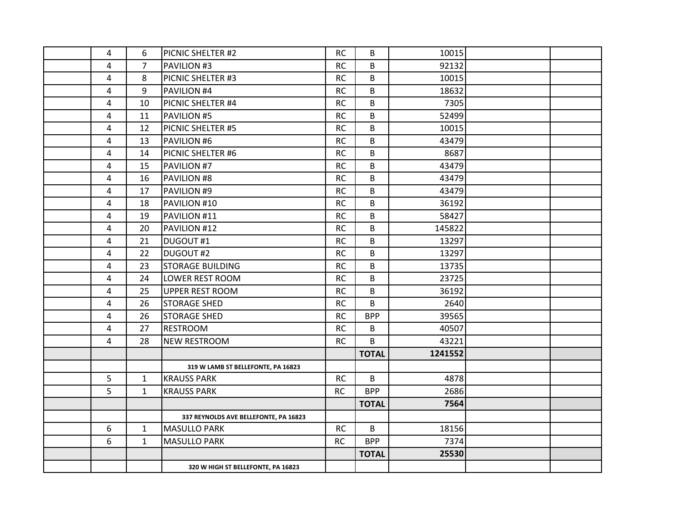| $\overline{4}$ | 6              | PICNIC SHELTER #2                     | <b>RC</b> | B            | 10015   |  |
|----------------|----------------|---------------------------------------|-----------|--------------|---------|--|
| 4              | $\overline{7}$ | PAVILION #3                           | <b>RC</b> | B            | 92132   |  |
| 4              | 8              | PICNIC SHELTER #3                     | RC        | B            | 10015   |  |
| 4              | 9              | PAVILION #4                           | <b>RC</b> | B            | 18632   |  |
| $\overline{4}$ | 10             | PICNIC SHELTER #4                     | <b>RC</b> | B            | 7305    |  |
| $\overline{4}$ | 11             | PAVILION #5                           | <b>RC</b> | B            | 52499   |  |
| $\overline{4}$ | 12             | PICNIC SHELTER #5                     | <b>RC</b> | B            | 10015   |  |
| 4              | 13             | PAVILION #6                           | RC        | B            | 43479   |  |
| 4              | 14             | PICNIC SHELTER #6                     | <b>RC</b> | B            | 8687    |  |
| 4              | 15             | PAVILION #7                           | <b>RC</b> | B            | 43479   |  |
| 4              | 16             | PAVILION #8                           | <b>RC</b> | B            | 43479   |  |
| 4              | 17             | PAVILION #9                           | <b>RC</b> | B            | 43479   |  |
| 4              | 18             | PAVILION #10                          | <b>RC</b> | B            | 36192   |  |
| 4              | 19             | PAVILION #11                          | <b>RC</b> | B            | 58427   |  |
| 4              | 20             | PAVILION #12                          | <b>RC</b> | B            | 145822  |  |
| $\overline{4}$ | 21             | DUGOUT#1                              | <b>RC</b> | B            | 13297   |  |
| $\overline{4}$ | 22             | DUGOUT#2                              | <b>RC</b> | B            | 13297   |  |
| 4              | 23             | <b>STORAGE BUILDING</b>               | RC        | B            | 13735   |  |
| 4              | 24             | LOWER REST ROOM                       | <b>RC</b> | B            | 23725   |  |
| 4              | 25             | <b>UPPER REST ROOM</b>                | <b>RC</b> | B            | 36192   |  |
| $\overline{4}$ | 26             | <b>STORAGE SHED</b>                   | <b>RC</b> | B            | 2640    |  |
| 4              | 26             | <b>STORAGE SHED</b>                   | <b>RC</b> | <b>BPP</b>   | 39565   |  |
| 4              | 27             | <b>RESTROOM</b>                       | <b>RC</b> | B            | 40507   |  |
| 4              | 28             | <b>NEW RESTROOM</b>                   | <b>RC</b> | B            | 43221   |  |
|                |                |                                       |           | <b>TOTAL</b> | 1241552 |  |
|                |                | 319 W LAMB ST BELLEFONTE, PA 16823    |           |              |         |  |
| 5              | $\mathbf{1}$   | <b>KRAUSS PARK</b>                    | <b>RC</b> | B            | 4878    |  |
| 5              | $\mathbf{1}$   | <b>KRAUSS PARK</b>                    | <b>RC</b> | <b>BPP</b>   | 2686    |  |
|                |                |                                       |           | <b>TOTAL</b> | 7564    |  |
|                |                | 337 REYNOLDS AVE BELLEFONTE, PA 16823 |           |              |         |  |
| 6              | $\mathbf{1}$   | <b>MASULLO PARK</b>                   | <b>RC</b> | B            | 18156   |  |
| 6              | 1              | <b>MASULLO PARK</b>                   | <b>RC</b> | <b>BPP</b>   | 7374    |  |
|                |                |                                       |           | <b>TOTAL</b> | 25530   |  |
|                |                | 320 W HIGH ST BELLEFONTE, PA 16823    |           |              |         |  |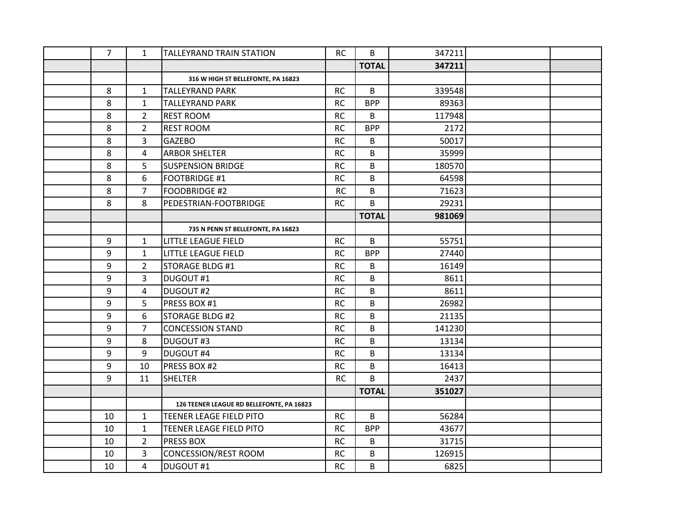| $\overline{7}$ | $\mathbf{1}$   | <b>TALLEYRAND TRAIN STATION</b>           | <b>RC</b> | B            | 347211 |  |
|----------------|----------------|-------------------------------------------|-----------|--------------|--------|--|
|                |                |                                           |           | <b>TOTAL</b> | 347211 |  |
|                |                | 316 W HIGH ST BELLEFONTE, PA 16823        |           |              |        |  |
| 8              | $\mathbf{1}$   | <b>TALLEYRAND PARK</b>                    | <b>RC</b> | B            | 339548 |  |
| 8              | $\mathbf{1}$   | <b>TALLEYRAND PARK</b>                    | <b>RC</b> | <b>BPP</b>   | 89363  |  |
| 8              | $\overline{2}$ | <b>REST ROOM</b>                          | <b>RC</b> | B            | 117948 |  |
| 8              | $\overline{2}$ | <b>REST ROOM</b>                          | <b>RC</b> | <b>BPP</b>   | 2172   |  |
| 8              | 3              | <b>GAZEBO</b>                             | <b>RC</b> | B            | 50017  |  |
| 8              | 4              | <b>ARBOR SHELTER</b>                      | <b>RC</b> | B            | 35999  |  |
| 8              | 5              | <b>SUSPENSION BRIDGE</b>                  | <b>RC</b> | B            | 180570 |  |
| 8              | 6              | <b>FOOTBRIDGE #1</b>                      | <b>RC</b> | B            | 64598  |  |
| 8              | $\overline{7}$ | <b>FOODBRIDGE #2</b>                      | <b>RC</b> | B            | 71623  |  |
| 8              | 8              | PEDESTRIAN-FOOTBRIDGE                     | <b>RC</b> | B            | 29231  |  |
|                |                |                                           |           | <b>TOTAL</b> | 981069 |  |
|                |                | 735 N PENN ST BELLEFONTE, PA 16823        |           |              |        |  |
| 9              | $\mathbf{1}$   | LITTLE LEAGUE FIELD                       | <b>RC</b> | B            | 55751  |  |
| 9              | $\mathbf{1}$   | <b>LITTLE LEAGUE FIELD</b>                | <b>RC</b> | <b>BPP</b>   | 27440  |  |
| 9              | $\overline{2}$ | <b>STORAGE BLDG #1</b>                    | <b>RC</b> | B            | 16149  |  |
| 9              | 3              | DUGOUT#1                                  | <b>RC</b> | B            | 8611   |  |
| 9              | 4              | DUGOUT#2                                  | <b>RC</b> | B            | 8611   |  |
| 9              | 5              | PRESS BOX #1                              | <b>RC</b> | B            | 26982  |  |
| 9              | 6              | <b>STORAGE BLDG #2</b>                    | <b>RC</b> | B            | 21135  |  |
| 9              | $\overline{7}$ | <b>CONCESSION STAND</b>                   | <b>RC</b> | B            | 141230 |  |
| 9              | 8              | <b>DUGOUT #3</b>                          | <b>RC</b> | B            | 13134  |  |
| 9              | 9              | <b>DUGOUT #4</b>                          | <b>RC</b> | B            | 13134  |  |
| 9              | 10             | PRESS BOX #2                              | <b>RC</b> | B            | 16413  |  |
| 9              | 11             | <b>SHELTER</b>                            | <b>RC</b> | B            | 2437   |  |
|                |                |                                           |           | <b>TOTAL</b> | 351027 |  |
|                |                | 126 TEENER LEAGUE RD BELLEFONTE, PA 16823 |           |              |        |  |
| 10             | $\mathbf{1}$   | <b>TEENER LEAGE FIELD PITO</b>            | <b>RC</b> | B            | 56284  |  |
| 10             | $\mathbf{1}$   | TEENER LEAGE FIELD PITO                   | <b>RC</b> | <b>BPP</b>   | 43677  |  |
| 10             | $\overline{2}$ | <b>PRESS BOX</b>                          | <b>RC</b> | B            | 31715  |  |
| 10             | 3              | <b>CONCESSION/REST ROOM</b>               | <b>RC</b> | B            | 126915 |  |
| 10             | 4              | DUGOUT#1                                  | <b>RC</b> | B            | 6825   |  |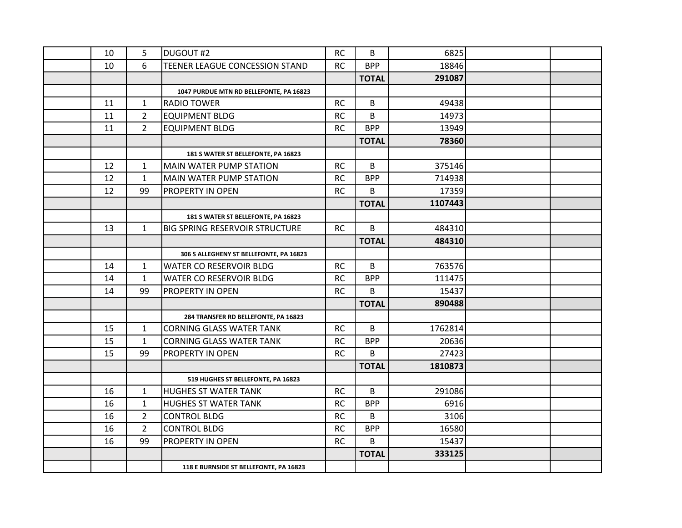| 10 | 5              | <b>DUGOUT #2</b>                        | <b>RC</b> | B            | 6825    |  |
|----|----------------|-----------------------------------------|-----------|--------------|---------|--|
| 10 | 6              | TEENER LEAGUE CONCESSION STAND          | <b>RC</b> | <b>BPP</b>   | 18846   |  |
|    |                |                                         |           | <b>TOTAL</b> | 291087  |  |
|    |                | 1047 PURDUE MTN RD BELLEFONTE, PA 16823 |           |              |         |  |
| 11 | $\mathbf{1}$   | <b>RADIO TOWER</b>                      | <b>RC</b> | B            | 49438   |  |
| 11 | $\overline{2}$ | <b>EQUIPMENT BLDG</b>                   | <b>RC</b> | B            | 14973   |  |
| 11 | $\overline{2}$ | <b>EQUIPMENT BLDG</b>                   | <b>RC</b> | <b>BPP</b>   | 13949   |  |
|    |                |                                         |           | <b>TOTAL</b> | 78360   |  |
|    |                | 181 S WATER ST BELLEFONTE, PA 16823     |           |              |         |  |
| 12 | $\mathbf{1}$   | MAIN WATER PUMP STATION                 | <b>RC</b> | B            | 375146  |  |
| 12 | $\mathbf{1}$   | MAIN WATER PUMP STATION                 | <b>RC</b> | <b>BPP</b>   | 714938  |  |
| 12 | 99             | PROPERTY IN OPEN                        | <b>RC</b> | B.           | 17359   |  |
|    |                |                                         |           | <b>TOTAL</b> | 1107443 |  |
|    |                | 181 S WATER ST BELLEFONTE, PA 16823     |           |              |         |  |
| 13 | $\mathbf{1}$   | BIG SPRING RESERVOIR STRUCTURE          | <b>RC</b> | B            | 484310  |  |
|    |                |                                         |           | <b>TOTAL</b> | 484310  |  |
|    |                | 306 S ALLEGHENY ST BELLEFONTE, PA 16823 |           |              |         |  |
| 14 | $\mathbf{1}$   | WATER CO RESERVOIR BLDG                 | <b>RC</b> | B            | 763576  |  |
| 14 | $\mathbf{1}$   | <b>WATER CO RESERVOIR BLDG</b>          | <b>RC</b> | <b>BPP</b>   | 111475  |  |
| 14 | 99             | PROPERTY IN OPEN                        | <b>RC</b> | B            | 15437   |  |
|    |                |                                         |           | <b>TOTAL</b> | 890488  |  |
|    |                | 284 TRANSFER RD BELLEFONTE, PA 16823    |           |              |         |  |
| 15 | $\mathbf{1}$   | <b>CORNING GLASS WATER TANK</b>         | <b>RC</b> | B.           | 1762814 |  |
| 15 | $\mathbf{1}$   | <b>CORNING GLASS WATER TANK</b>         | <b>RC</b> | <b>BPP</b>   | 20636   |  |
| 15 | 99             | PROPERTY IN OPEN                        | <b>RC</b> | B            | 27423   |  |
|    |                |                                         |           | <b>TOTAL</b> | 1810873 |  |
|    |                | 519 HUGHES ST BELLEFONTE, PA 16823      |           |              |         |  |
| 16 | $\mathbf{1}$   | <b>HUGHES ST WATER TANK</b>             | <b>RC</b> | B            | 291086  |  |
| 16 | $\mathbf{1}$   | <b>HUGHES ST WATER TANK</b>             | <b>RC</b> | <b>BPP</b>   | 6916    |  |
| 16 | $\overline{2}$ | <b>CONTROL BLDG</b>                     | <b>RC</b> | B            | 3106    |  |
| 16 | $\overline{2}$ | <b>CONTROL BLDG</b>                     | <b>RC</b> | <b>BPP</b>   | 16580   |  |
| 16 | 99             | PROPERTY IN OPEN                        | <b>RC</b> | B            | 15437   |  |
|    |                |                                         |           | <b>TOTAL</b> | 333125  |  |
|    |                | 118 E BURNSIDE ST BELLEFONTE, PA 16823  |           |              |         |  |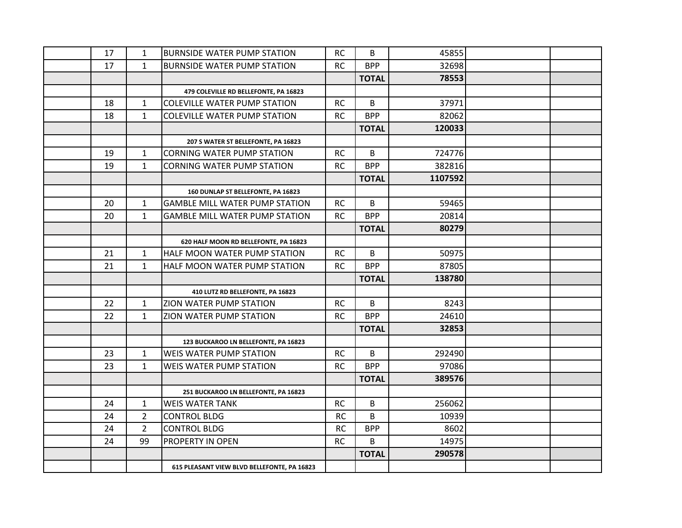| 17 | 1              | <b>BURNSIDE WATER PUMP STATION</b>          | <b>RC</b> | B            | 45855   |  |
|----|----------------|---------------------------------------------|-----------|--------------|---------|--|
| 17 | $\mathbf{1}$   | <b>BURNSIDE WATER PUMP STATION</b>          | <b>RC</b> | <b>BPP</b>   | 32698   |  |
|    |                |                                             |           | <b>TOTAL</b> | 78553   |  |
|    |                | 479 COLEVILLE RD BELLEFONTE, PA 16823       |           |              |         |  |
| 18 | 1              | <b>COLEVILLE WATER PUMP STATION</b>         | <b>RC</b> | B            | 37971   |  |
| 18 | $\mathbf{1}$   | <b>COLEVILLE WATER PUMP STATION</b>         | <b>RC</b> | <b>BPP</b>   | 82062   |  |
|    |                |                                             |           | <b>TOTAL</b> | 120033  |  |
|    |                | 207 S WATER ST BELLEFONTE, PA 16823         |           |              |         |  |
| 19 | $\mathbf{1}$   | <b>CORNING WATER PUMP STATION</b>           | <b>RC</b> | B            | 724776  |  |
| 19 | $\mathbf{1}$   | <b>CORNING WATER PUMP STATION</b>           | <b>RC</b> | <b>BPP</b>   | 382816  |  |
|    |                |                                             |           | <b>TOTAL</b> | 1107592 |  |
|    |                | 160 DUNLAP ST BELLEFONTE, PA 16823          |           |              |         |  |
| 20 | $\mathbf{1}$   | <b>GAMBLE MILL WATER PUMP STATION</b>       | <b>RC</b> | B            | 59465   |  |
| 20 | $\mathbf{1}$   | <b>GAMBLE MILL WATER PUMP STATION</b>       | <b>RC</b> | <b>BPP</b>   | 20814   |  |
|    |                |                                             |           | <b>TOTAL</b> | 80279   |  |
|    |                | 620 HALF MOON RD BELLEFONTE, PA 16823       |           |              |         |  |
| 21 | $\mathbf{1}$   | HALF MOON WATER PUMP STATION                | <b>RC</b> | B            | 50975   |  |
| 21 | $\mathbf{1}$   | HALF MOON WATER PUMP STATION                | <b>RC</b> | <b>BPP</b>   | 87805   |  |
|    |                |                                             |           | <b>TOTAL</b> | 138780  |  |
|    |                | 410 LUTZ RD BELLEFONTE, PA 16823            |           |              |         |  |
| 22 | 1              | ZION WATER PUMP STATION                     | <b>RC</b> | B            | 8243    |  |
| 22 | $\mathbf{1}$   | <b>ZION WATER PUMP STATION</b>              | <b>RC</b> | <b>BPP</b>   | 24610   |  |
|    |                |                                             |           | <b>TOTAL</b> | 32853   |  |
|    |                | 123 BUCKAROO LN BELLEFONTE, PA 16823        |           |              |         |  |
| 23 | 1              | <b>WEIS WATER PUMP STATION</b>              | <b>RC</b> | B            | 292490  |  |
| 23 | $\mathbf{1}$   | WEIS WATER PUMP STATION                     | <b>RC</b> | <b>BPP</b>   | 97086   |  |
|    |                |                                             |           | <b>TOTAL</b> | 389576  |  |
|    |                | 251 BUCKAROO LN BELLEFONTE, PA 16823        |           |              |         |  |
| 24 | $\mathbf{1}$   | <b>WEIS WATER TANK</b>                      | <b>RC</b> | B            | 256062  |  |
| 24 | $\overline{2}$ | <b>CONTROL BLDG</b>                         | <b>RC</b> | B            | 10939   |  |
| 24 | $\overline{2}$ | <b>CONTROL BLDG</b>                         | <b>RC</b> | <b>BPP</b>   | 8602    |  |
| 24 | 99             | PROPERTY IN OPEN                            | <b>RC</b> | B            | 14975   |  |
|    |                |                                             |           | <b>TOTAL</b> | 290578  |  |
|    |                | 615 PLEASANT VIEW BLVD BELLEFONTE, PA 16823 |           |              |         |  |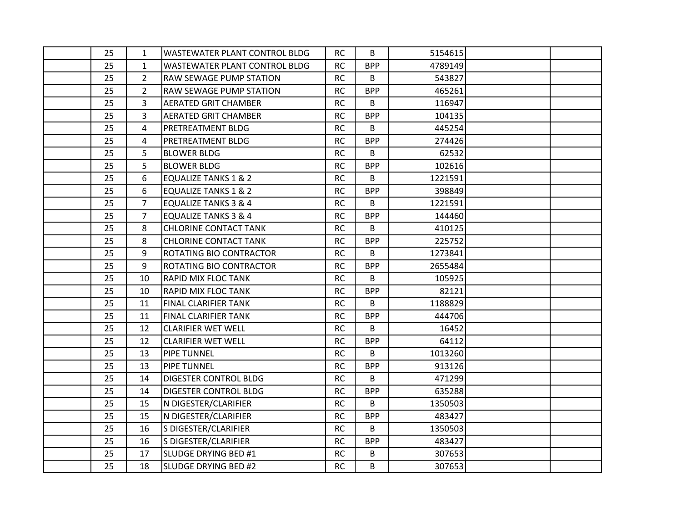| 25 | $\mathbf{1}$   | <b>WASTEWATER PLANT CONTROL BLDG</b> | <b>RC</b> | B          | 5154615 |  |
|----|----------------|--------------------------------------|-----------|------------|---------|--|
| 25 | $\mathbf{1}$   | <b>WASTEWATER PLANT CONTROL BLDG</b> | <b>RC</b> | <b>BPP</b> | 4789149 |  |
| 25 | $\overline{2}$ | <b>RAW SEWAGE PUMP STATION</b>       | <b>RC</b> | B          | 543827  |  |
| 25 | $\overline{2}$ | <b>RAW SEWAGE PUMP STATION</b>       | <b>RC</b> | <b>BPP</b> | 465261  |  |
| 25 | 3              | <b>AERATED GRIT CHAMBER</b>          | <b>RC</b> | B          | 116947  |  |
| 25 | 3              | <b>AERATED GRIT CHAMBER</b>          | <b>RC</b> | <b>BPP</b> | 104135  |  |
| 25 | 4              | PRETREATMENT BLDG                    | <b>RC</b> | В          | 445254  |  |
| 25 | 4              | PRETREATMENT BLDG                    | <b>RC</b> | <b>BPP</b> | 274426  |  |
| 25 | 5              | <b>BLOWER BLDG</b>                   | <b>RC</b> | B          | 62532   |  |
| 25 | 5              | <b>BLOWER BLDG</b>                   | <b>RC</b> | <b>BPP</b> | 102616  |  |
| 25 | 6              | <b>EQUALIZE TANKS 1 &amp; 2</b>      | <b>RC</b> | B          | 1221591 |  |
| 25 | 6              | <b>EQUALIZE TANKS 1 &amp; 2</b>      | <b>RC</b> | <b>BPP</b> | 398849  |  |
| 25 | $\overline{7}$ | <b>EQUALIZE TANKS 3 &amp; 4</b>      | <b>RC</b> | B          | 1221591 |  |
| 25 | $\overline{7}$ | <b>EQUALIZE TANKS 3 &amp; 4</b>      | <b>RC</b> | <b>BPP</b> | 144460  |  |
| 25 | 8              | <b>CHLORINE CONTACT TANK</b>         | <b>RC</b> | B          | 410125  |  |
| 25 | 8              | <b>CHLORINE CONTACT TANK</b>         | <b>RC</b> | <b>BPP</b> | 225752  |  |
| 25 | 9              | ROTATING BIO CONTRACTOR              | <b>RC</b> | В          | 1273841 |  |
| 25 | 9              | ROTATING BIO CONTRACTOR              | <b>RC</b> | <b>BPP</b> | 2655484 |  |
| 25 | 10             | RAPID MIX FLOC TANK                  | <b>RC</b> | B          | 105925  |  |
| 25 | 10             | RAPID MIX FLOC TANK                  | <b>RC</b> | <b>BPP</b> | 82121   |  |
| 25 | 11             | FINAL CLARIFIER TANK                 | <b>RC</b> | B          | 1188829 |  |
| 25 | 11             | FINAL CLARIFIER TANK                 | <b>RC</b> | <b>BPP</b> | 444706  |  |
| 25 | 12             | <b>CLARIFIER WET WELL</b>            | <b>RC</b> | B          | 16452   |  |
| 25 | 12             | <b>CLARIFIER WET WELL</b>            | <b>RC</b> | <b>BPP</b> | 64112   |  |
| 25 | 13             | <b>PIPE TUNNEL</b>                   | <b>RC</b> | B          | 1013260 |  |
| 25 | 13             | <b>PIPE TUNNEL</b>                   | RC        | <b>BPP</b> | 913126  |  |
| 25 | 14             | <b>DIGESTER CONTROL BLDG</b>         | <b>RC</b> | B          | 471299  |  |
| 25 | 14             | DIGESTER CONTROL BLDG                | RC        | <b>BPP</b> | 635288  |  |
| 25 | 15             | N DIGESTER/CLARIFIER                 | <b>RC</b> | B          | 1350503 |  |
| 25 | 15             | N DIGESTER/CLARIFIER                 | <b>RC</b> | <b>BPP</b> | 483427  |  |
| 25 | 16             | S DIGESTER/CLARIFIER                 | <b>RC</b> | B          | 1350503 |  |
| 25 | 16             | S DIGESTER/CLARIFIER                 | <b>RC</b> | <b>BPP</b> | 483427  |  |
| 25 | 17             | SLUDGE DRYING BED #1                 | <b>RC</b> | B          | 307653  |  |
| 25 | 18             | <b>SLUDGE DRYING BED #2</b>          | <b>RC</b> | B          | 307653  |  |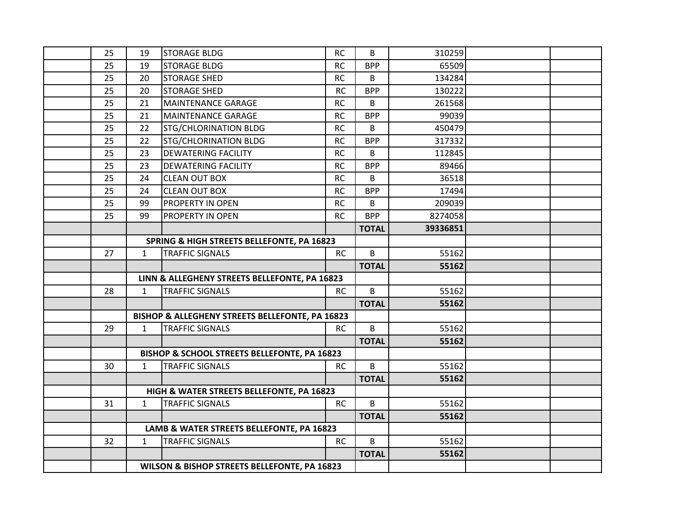| 25 | 19           | <b>STORAGE BLDG</b>                             | <b>RC</b> | B            | 310259   |  |
|----|--------------|-------------------------------------------------|-----------|--------------|----------|--|
| 25 | 19           | <b>STORAGE BLDG</b>                             | <b>RC</b> | <b>BPP</b>   | 65509    |  |
| 25 | 20           | <b>STORAGE SHED</b>                             | <b>RC</b> | B            | 134284   |  |
| 25 | 20           | <b>STORAGE SHED</b>                             | <b>RC</b> | <b>BPP</b>   | 130222   |  |
| 25 | 21           | MAINTENANCE GARAGE                              | <b>RC</b> | B            | 261568   |  |
| 25 | 21           | <b>MAINTENANCE GARAGE</b>                       | <b>RC</b> | <b>BPP</b>   | 99039    |  |
| 25 | 22           | STG/CHLORINATION BLDG                           | <b>RC</b> | B            | 450479   |  |
| 25 | 22           | <b>STG/CHLORINATION BLDG</b>                    | <b>RC</b> | <b>BPP</b>   | 317332   |  |
| 25 | 23           | <b>DEWATERING FACILITY</b>                      | <b>RC</b> | B            | 112845   |  |
| 25 | 23           | <b>DEWATERING FACILITY</b>                      | <b>RC</b> | <b>BPP</b>   | 89466    |  |
| 25 | 24           | <b>CLEAN OUT BOX</b>                            | <b>RC</b> | B            | 36518    |  |
| 25 | 24           | <b>CLEAN OUT BOX</b>                            | <b>RC</b> | <b>BPP</b>   | 17494    |  |
| 25 | 99           | PROPERTY IN OPEN                                | <b>RC</b> | B            | 209039   |  |
| 25 | 99           | PROPERTY IN OPEN                                | <b>RC</b> | <b>BPP</b>   | 8274058  |  |
|    |              |                                                 |           | <b>TOTAL</b> | 39336851 |  |
|    |              | SPRING & HIGH STREETS BELLEFONTE, PA 16823      |           |              |          |  |
| 27 | $\mathbf{1}$ | <b>TRAFFIC SIGNALS</b>                          | <b>RC</b> | B            | 55162    |  |
|    |              |                                                 |           | <b>TOTAL</b> | 55162    |  |
|    |              | LINN & ALLEGHENY STREETS BELLEFONTE, PA 16823   |           |              |          |  |
| 28 | $\mathbf{1}$ | <b>TRAFFIC SIGNALS</b>                          | <b>RC</b> | B            | 55162    |  |
|    |              |                                                 |           | <b>TOTAL</b> | 55162    |  |
|    |              | BISHOP & ALLEGHENY STREETS BELLEFONTE, PA 16823 |           |              |          |  |
| 29 | $\mathbf{1}$ | <b>TRAFFIC SIGNALS</b>                          | <b>RC</b> | B            | 55162    |  |
|    |              |                                                 |           | <b>TOTAL</b> | 55162    |  |
|    |              | BISHOP & SCHOOL STREETS BELLEFONTE, PA 16823    |           |              |          |  |
| 30 | $\mathbf{1}$ | TRAFFIC SIGNALS                                 | <b>RC</b> | B            | 55162    |  |
|    |              |                                                 |           | <b>TOTAL</b> | 55162    |  |
|    |              | HIGH & WATER STREETS BELLEFONTE, PA 16823       |           |              |          |  |
| 31 | $\mathbf{1}$ | <b>TRAFFIC SIGNALS</b>                          | <b>RC</b> | B            | 55162    |  |
|    |              |                                                 |           | <b>TOTAL</b> | 55162    |  |
|    |              | LAMB & WATER STREETS BELLEFONTE, PA 16823       |           |              |          |  |
| 32 | $\mathbf{1}$ | <b>TRAFFIC SIGNALS</b>                          | <b>RC</b> | B            | 55162    |  |
|    |              |                                                 |           | <b>TOTAL</b> | 55162    |  |
|    |              | WILSON & BISHOP STREETS BELLEFONTE, PA 16823    |           |              |          |  |